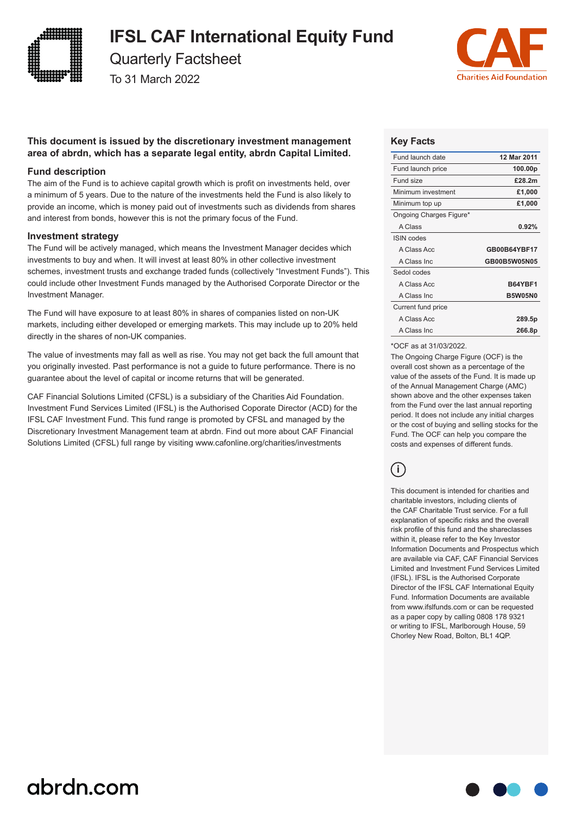

### **IFSL CAF International Equity Fund**

Quarterly Factsheet

To 31 March 2022



#### **This document is issued by the discretionary investment management area of abrdn, which has a separate legal entity, abrdn Capital Limited.**

#### **Fund description**

The aim of the Fund is to achieve capital growth which is profit on investments held, over a minimum of 5 years. Due to the nature of the investments held the Fund is also likely to provide an income, which is money paid out of investments such as dividends from shares and interest from bonds, however this is not the primary focus of the Fund.

#### **Investment strategy**

The Fund will be actively managed, which means the Investment Manager decides which investments to buy and when. It will invest at least 80% in other collective investment schemes, investment trusts and exchange traded funds (collectively "Investment Funds"). This could include other Investment Funds managed by the Authorised Corporate Director or the Investment Manager.

The Fund will have exposure to at least 80% in shares of companies listed on non-UK markets, including either developed or emerging markets. This may include up to 20% held directly in the shares of non-UK companies.

The value of investments may fall as well as rise. You may not get back the full amount that you originally invested. Past performance is not a guide to future performance. There is no guarantee about the level of capital or income returns that will be generated.

CAF Financial Solutions Limited (CFSL) is a subsidiary of the Charities Aid Foundation. Investment Fund Services Limited (IFSL) is the Authorised Coporate Director (ACD) for the IFSL CAF Investment Fund. This fund range is promoted by CFSL and managed by the Discretionary Investment Management team at abrdn. Find out more about CAF Financial Solutions Limited (CFSL) full range by visiting www.cafonline.org/charities/investments

#### **Key Facts**

| Fund launch date        | 12 Mar 2011    |
|-------------------------|----------------|
| Fund launch price       | 100.00p        |
| Fund size               | £28.2m         |
| Minimum investment      | £1,000         |
| Minimum top up          | £1,000         |
| Ongoing Charges Figure* |                |
| A Class                 | 0.92%          |
| <b>ISIN</b> codes       |                |
| A Class Acc             | GB00B64YBF17   |
| A Class Inc.            | GB00B5W05N05   |
| Sedol codes             |                |
| A Class Acc             | <b>B64YBF1</b> |
| A Class Inc.            | <b>B5W05N0</b> |
| Current fund price      |                |
| A Class Acc             | 289.5p         |
| A Class Inc.            | 266.8p         |

#### \*OCF as at 31/03/2022.

The Ongoing Charge Figure (OCF) is the overall cost shown as a percentage of the value of the assets of the Fund. It is made up of the Annual Management Charge (AMC) shown above and the other expenses taken from the Fund over the last annual reporting period. It does not include any initial charges or the cost of buying and selling stocks for the Fund. The OCF can help you compare the costs and expenses of different funds.

### **i**

This document is intended for charities and charitable investors, including clients of the CAF Charitable Trust service. For a full explanation of specific risks and the overall risk profile of this fund and the shareclasses within it, please refer to the Key Investor Information Documents and Prospectus which are available via CAF, CAF Financial Services Limited and Investment Fund Services Limited (IFSL). IFSL is the Authorised Corporate Director of the IFSL CAF International Equity Fund. Information Documents are available from www.ifslfunds.com or can be requested as a paper copy by calling 0808 178 9321 or writing to IFSL, Marlborough House, 59 Chorley New Road, Bolton, BL1 4QP.

## abrdn.com

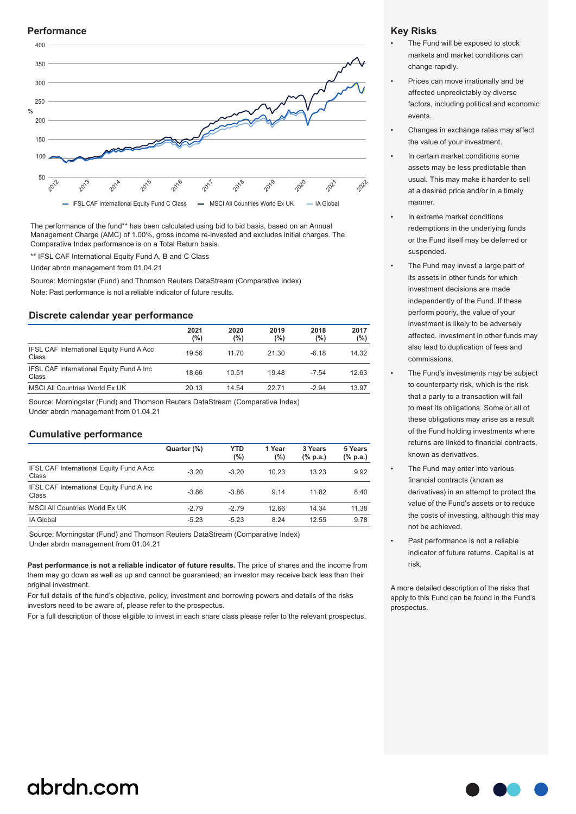#### **Performance**



The performance of the fund\*\* has been calculated using bid to bid basis, based on an Annual Management Charge (AMC) of 1.00%, gross income re-invested and excludes initial charges. The Comparative Index performance is on a Total Return basis.

\*\* IFSL CAF International Equity Fund A, B and C Class

Under abrdn management from 01.04.21

Source: Morningstar (Fund) and Thomson Reuters DataStream (Comparative Index)

Note: Past performance is not a reliable indicator of future results.

#### **Discrete calendar year performance**

|                                                    | 2021<br>(%) | 2020<br>(%) | 2019<br>(%) | 2018<br>(%) | 2017<br>(%) |
|----------------------------------------------------|-------------|-------------|-------------|-------------|-------------|
| IFSL CAF International Equity Fund A Acc<br>Class  | 19.56       | 11.70       | 21.30       | $-6.18$     | 14.32       |
| IFSL CAF International Equity Fund A Inc.<br>Class | 18.66       | 10.51       | 19.48       | $-7.54$     | 12.63       |
| MSCI All Countries World Ex UK                     | 20.13       | 14.54       | 22.71       | $-2.94$     | 13.97       |

Source: Morningstar (Fund) and Thomson Reuters DataStream (Comparative Index)

Under abrdn management from 01.04.21

#### **Cumulative performance**

|                                                          | Quarter (%) | YTD<br>$(\%)$ | 1 Year<br>$(\%)$ | 3 Years<br>$(% \mathbf{a})$ (% p.a.) | 5 Years<br>(% p.a.) |
|----------------------------------------------------------|-------------|---------------|------------------|--------------------------------------|---------------------|
| <b>IFSL CAF International Equity Fund A Acc</b><br>Class | $-3.20$     | $-3.20$       | 10.23            | 13.23                                | 9.92                |
| IFSL CAF International Equity Fund A Inc.<br>Class       | $-3.86$     | $-3.86$       | 9.14             | 11.82                                | 8.40                |
| MSCI All Countries World Ex UK                           | $-2.79$     | $-2.79$       | 12.66            | 14.34                                | 11.38               |
| IA Global                                                | $-5.23$     | $-5.23$       | 8.24             | 12.55                                | 9.78                |

Source: Morningstar (Fund) and Thomson Reuters DataStream (Comparative Index) Under abrdn management from 01.04.21

**Past performance is not a reliable indicator of future results.** The price of shares and the income from them may go down as well as up and cannot be guaranteed; an investor may receive back less than their original investment.

For full details of the fund's objective, policy, investment and borrowing powers and details of the risks investors need to be aware of, please refer to the prospectus.

For a full description of those eligible to invest in each share class please refer to the relevant prospectus.

#### **Key Risks**

- The Fund will be exposed to stock markets and market conditions can change rapidly.
- Prices can move irrationally and be affected unpredictably by diverse factors, including political and economic events.
- Changes in exchange rates may affect the value of your investment.
- In certain market conditions some assets may be less predictable than usual. This may make it harder to sell at a desired price and/or in a timely manner.
- In extreme market conditions redemptions in the underlying funds or the Fund itself may be deferred or suspended.
- The Fund may invest a large part of its assets in other funds for which investment decisions are made independently of the Fund. If these perform poorly, the value of your investment is likely to be adversely affected. Investment in other funds may also lead to duplication of fees and commissions.
- The Fund's investments may be subject to counterparty risk, which is the risk that a party to a transaction will fail to meet its obligations. Some or all of these obligations may arise as a result of the Fund holding investments where returns are linked to financial contracts, known as derivatives.
- The Fund may enter into various financial contracts (known as derivatives) in an attempt to protect the value of the Fund's assets or to reduce the costs of investing, although this may not be achieved.
- Past performance is not a reliable indicator of future returns. Capital is at risk.

A more detailed description of the risks that apply to this Fund can be found in the Fund's prospectus.

## abrdn.com